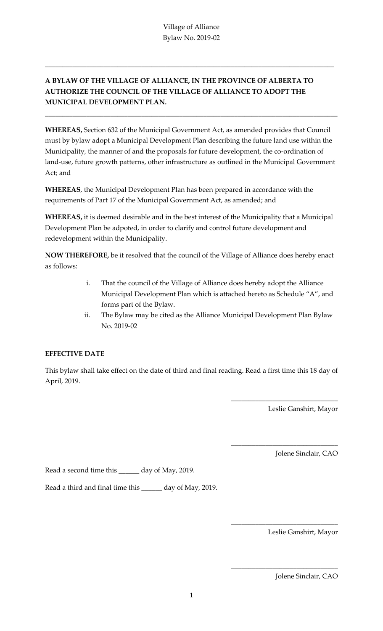\_\_\_\_\_\_\_\_\_\_\_\_\_\_\_\_\_\_\_\_\_\_\_\_\_\_\_\_\_\_\_\_\_\_\_\_\_\_\_\_\_\_\_\_\_\_\_\_\_\_\_\_\_\_\_\_\_\_\_\_\_\_\_\_\_\_\_\_\_\_\_\_\_\_\_\_\_\_\_\_\_\_\_\_

## **A BYLAW OF THE VILLAGE OF ALLIANCE, IN THE PROVINCE OF ALBERTA TO AUTHORIZE THE COUNCIL OF THE VILLAGE OF ALLIANCE TO ADOPT THE MUNICIPAL DEVELOPMENT PLAN.**

**WHEREAS,** Section 632 of the Municipal Government Act, as amended provides that Council must by bylaw adopt a Municipal Development Plan describing the future land use within the Municipality, the manner of and the proposals for future development, the co-ordination of land-use, future growth patterns, other infrastructure as outlined in the Municipal Government Act; and

\_\_\_\_\_\_\_\_\_\_\_\_\_\_\_\_\_\_\_\_\_\_\_\_\_\_\_\_\_\_\_\_\_\_\_\_\_\_\_\_\_\_\_\_\_\_\_\_\_\_\_\_\_\_\_\_\_\_\_\_\_\_\_\_\_\_\_\_\_\_\_\_\_\_\_\_\_\_\_\_\_\_\_\_\_

**WHEREAS**, the Municipal Development Plan has been prepared in accordance with the requirements of Part 17 of the Municipal Government Act, as amended; and

**WHEREAS,** it is deemed desirable and in the best interest of the Municipality that a Municipal Development Plan be adpoted, in order to clarify and control future development and redevelopment within the Municipality.

**NOW THEREFORE,** be it resolved that the council of the Village of Alliance does hereby enact as follows:

- i. That the council of the Village of Alliance does hereby adopt the Alliance Municipal Development Plan which is attached hereto as Schedule "A", and forms part of the Bylaw.
- ii. The Bylaw may be cited as the Alliance Municipal Development Plan Bylaw No. 2019-02

## **EFFECTIVE DATE**

This bylaw shall take effect on the date of third and final reading. Read a first time this 18 day of April, 2019.

Leslie Ganshirt, Mayor

\_\_\_\_\_\_\_\_\_\_\_\_\_\_\_\_\_\_\_\_\_\_\_\_\_\_\_\_\_\_\_

\_\_\_\_\_\_\_\_\_\_\_\_\_\_\_\_\_\_\_\_\_\_\_\_\_\_\_\_\_\_\_

\_\_\_\_\_\_\_\_\_\_\_\_\_\_\_\_\_\_\_\_\_\_\_\_\_\_\_\_\_\_\_

\_\_\_\_\_\_\_\_\_\_\_\_\_\_\_\_\_\_\_\_\_\_\_\_\_\_\_\_\_\_\_

Jolene Sinclair, CAO

Read a second time this \_\_\_\_\_\_ day of May, 2019.

Read a third and final time this \_\_\_\_\_\_ day of May, 2019.

Leslie Ganshirt, Mayor

Jolene Sinclair, CAO